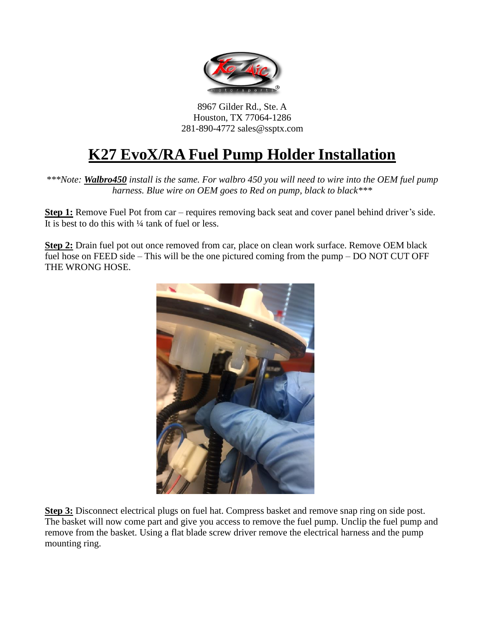

8967 Gilder Rd., Ste. A Houston, TX 77064-1286 281-890-4772 [sales@ssptx.com](mailto:sales@ssptx.com)

## **K27 EvoX/RA Fuel Pump Holder Installation**

*\*\*\*Note: Walbro450 install is the same. For walbro 450 you will need to wire into the OEM fuel pump harness. Blue wire on OEM goes to Red on pump, black to black\*\*\**

**Step 1:** Remove Fuel Pot from car – requires removing back seat and cover panel behind driver's side. It is best to do this with ¼ tank of fuel or less.

**Step 2:** Drain fuel pot out once removed from car, place on clean work surface. Remove OEM black fuel hose on FEED side – This will be the one pictured coming from the pump – DO NOT CUT OFF THE WRONG HOSE.



**Step 3:** Disconnect electrical plugs on fuel hat. Compress basket and remove snap ring on side post. The basket will now come part and give you access to remove the fuel pump. Unclip the fuel pump and remove from the basket. Using a flat blade screw driver remove the electrical harness and the pump mounting ring.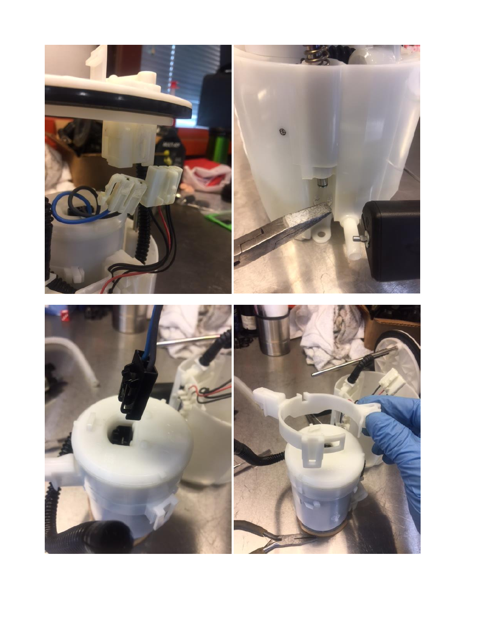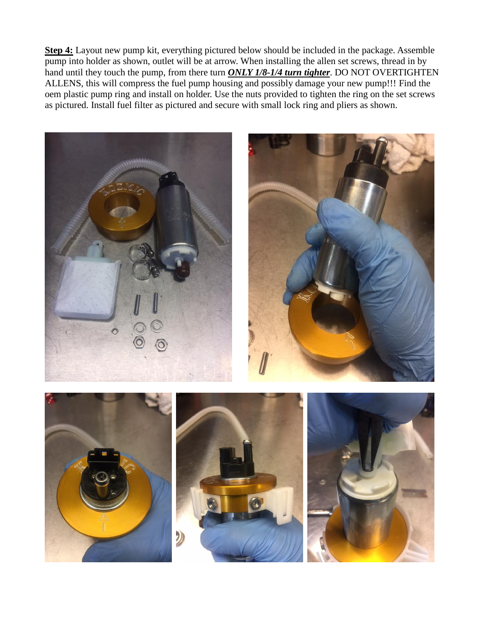**Step 4:** Layout new pump kit, everything pictured below should be included in the package. Assemble pump into holder as shown, outlet will be at arrow. When installing the allen set screws, thread in by hand until they touch the pump, from there turn *ONLY 1/8-1/4 turn tighter*. DO NOT OVERTIGHTEN ALLENS, this will compress the fuel pump housing and possibly damage your new pump!!! Find the oem plastic pump ring and install on holder. Use the nuts provided to tighten the ring on the set screws as pictured. Install fuel filter as pictured and secure with small lock ring and pliers as shown.